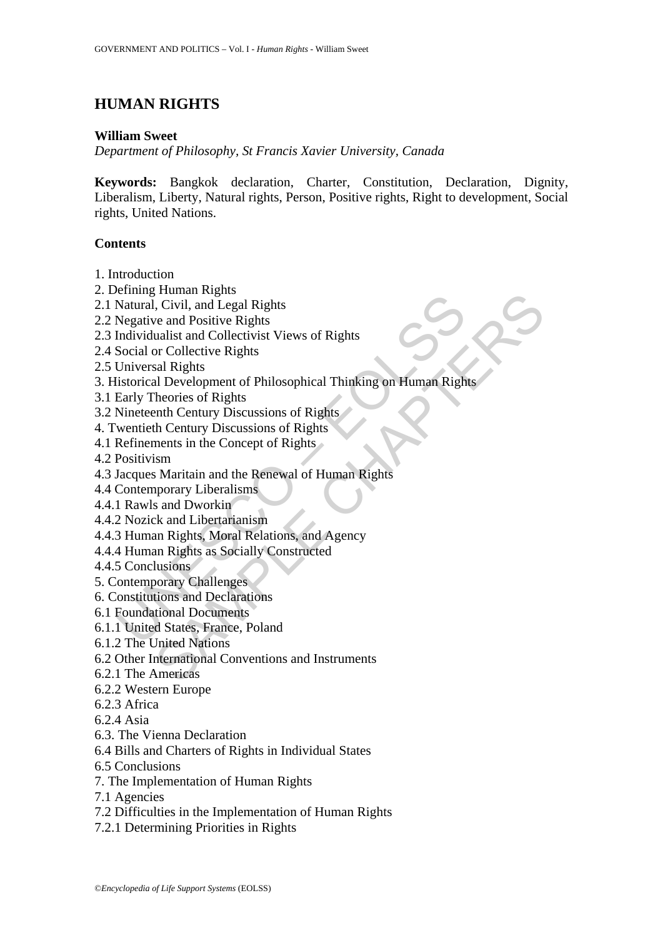# **HUMAN RIGHTS**

#### **William Sweet**

*Department of Philosophy, St Francis Xavier University, Canada* 

**Keywords:** Bangkok declaration, Charter, Constitution, Declaration, Dignity, Liberalism, Liberty, Natural rights, Person, Positive rights, Right to development, Social rights, United Nations.

## **Contents**

- 1. Introduction
- 2. Defining Human Rights
- 2.1 Natural, Civil, and Legal Rights
- 2.2 Negative and Positive Rights
- 2.3 Individualist and Collectivist Views of Rights
- 2.4 Social or Collective Rights
- 2.5 Universal Rights
- Contain Collective Transmission<br>
Natural, Civil, and Legal Rights<br>
Negative and Positive Rights<br>
Individualist and Collectivist Views of Rights<br>
Ioniversal Rights<br>
Universal Rights<br>
Universal Rights<br>
Early Theories of Righ Framan riggins<br>
The Civil, and Legal Rights<br>
We and Positive Rights<br>
we and Positive Rights<br>
we and Positive Rights<br>
and Rights<br>
and Rights<br>
and Rights<br>
heories of Rights<br>
heories of Rights<br>
theories of Rights<br>
there is th 3. Historical Development of Philosophical Thinking on Human Rights
- 3.1 Early Theories of Rights
- 3.2 Nineteenth Century Discussions of Rights
- 4. Twentieth Century Discussions of Rights
- 4.1 Refinements in the Concept of Rights
- 4.2 Positivism
- 4.3 Jacques Maritain and the Renewal of Human Rights
- 4.4 Contemporary Liberalisms
- 4.4.1 Rawls and Dworkin
- 4.4.2 Nozick and Libertarianism
- 4.4.3 Human Rights, Moral Relations, and Agency
- 4.4.4 Human Rights as Socially Constructed
- 4.4.5 Conclusions
- 5. Contemporary Challenges
- 6. Constitutions and Declarations
- 6.1 Foundational Documents
- 6.1.1 United States, France, Poland
- 6.1.2 The United Nations
- 6.2 Other International Conventions and Instruments
- 6.2.1 The Americas
- 6.2.2 Western Europe
- 6.2.3 Africa
- 6.2.4 Asia
- 6.3. The Vienna Declaration
- 6.4 Bills and Charters of Rights in Individual States
- 6.5 Conclusions
- 7. The Implementation of Human Rights
- 7.1 Agencies
- 7.2 Difficulties in the Implementation of Human Rights
- 7.2.1 Determining Priorities in Rights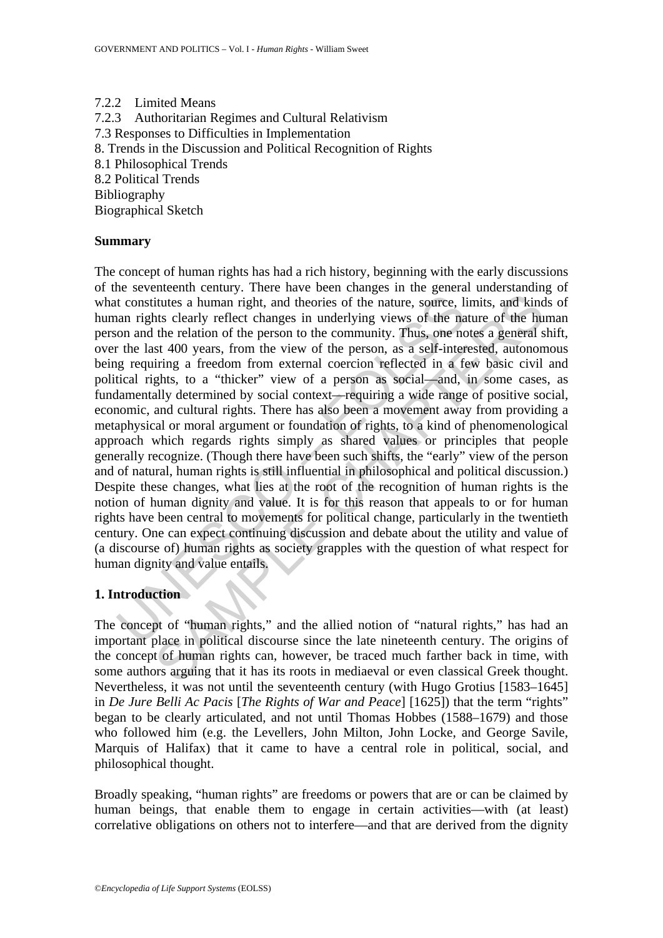7.2.2 Limited Means 7.2.3 Authoritarian Regimes and Cultural Relativism 7.3 Responses to Difficulties in Implementation 8. Trends in the Discussion and Political Recognition of Rights 8.1 Philosophical Trends 8.2 Political Trends Bibliography Biographical Sketch

#### **Summary**

It constitutes a human right, and theories of the nature, source, lian rights clearly reflect changes in underlying views of the nature and the relation of the person to the community. Thus, one not the last 400 years, fro itutes a human right, and theories of the nature, source, limits, and kind<br>titutes a human right, and theories of the nature, source, limits, and kind<br>the relation of the person to the community. Thus, one notes a general<br> The concept of human rights has had a rich history, beginning with the early discussions of the seventeenth century. There have been changes in the general understanding of what constitutes a human right, and theories of the nature, source, limits, and kinds of human rights clearly reflect changes in underlying views of the nature of the human person and the relation of the person to the community. Thus, one notes a general shift, over the last 400 years, from the view of the person, as a self-interested, autonomous being requiring a freedom from external coercion reflected in a few basic civil and political rights, to a "thicker" view of a person as social—and, in some cases, as fundamentally determined by social context—requiring a wide range of positive social, economic, and cultural rights. There has also been a movement away from providing a metaphysical or moral argument or foundation of rights, to a kind of phenomenological approach which regards rights simply as shared values or principles that people generally recognize. (Though there have been such shifts, the "early" view of the person and of natural, human rights is still influential in philosophical and political discussion.) Despite these changes, what lies at the root of the recognition of human rights is the notion of human dignity and value. It is for this reason that appeals to or for human rights have been central to movements for political change, particularly in the twentieth century. One can expect continuing discussion and debate about the utility and value of (a discourse of) human rights as society grapples with the question of what respect for human dignity and value entails.

## **1. Introduction**

The concept of "human rights," and the allied notion of "natural rights," has had an important place in political discourse since the late nineteenth century. The origins of the concept of human rights can, however, be traced much farther back in time, with some authors arguing that it has its roots in mediaeval or even classical Greek thought. Nevertheless, it was not until the seventeenth century (with Hugo Grotius [1583–1645] in *De Jure Belli Ac Pacis* [*The Rights of War and Peace*] [1625]) that the term "rights" began to be clearly articulated, and not until Thomas Hobbes (1588–1679) and those who followed him (e.g. the Levellers, John Milton, John Locke, and George Savile, Marquis of Halifax) that it came to have a central role in political, social, and philosophical thought.

Broadly speaking, "human rights" are freedoms or powers that are or can be claimed by human beings, that enable them to engage in certain activities—with (at least) correlative obligations on others not to interfere—and that are derived from the dignity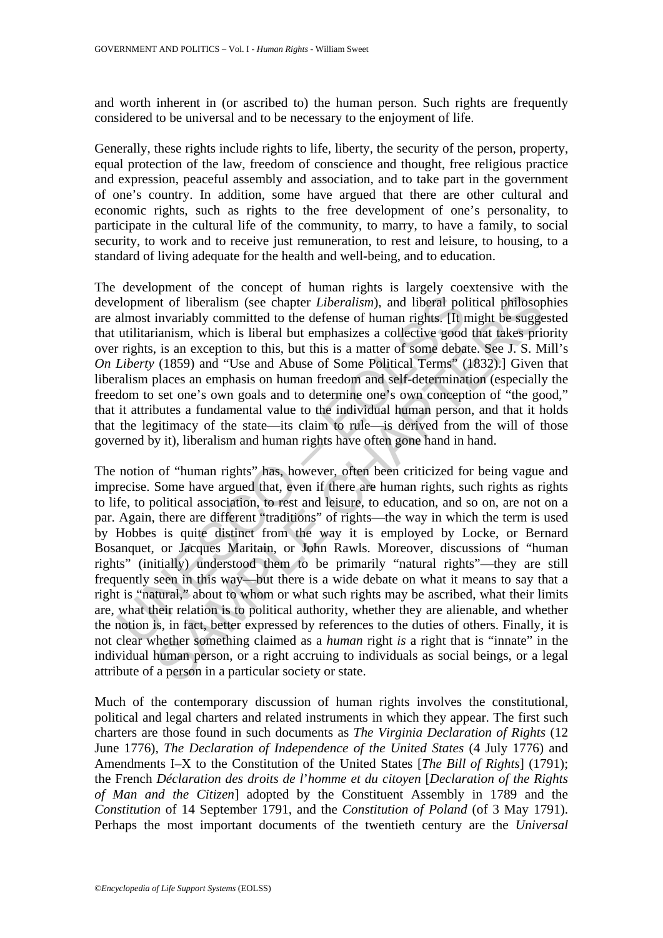and worth inherent in (or ascribed to) the human person. Such rights are frequently considered to be universal and to be necessary to the enjoyment of life.

Generally, these rights include rights to life, liberty, the security of the person, property, equal protection of the law, freedom of conscience and thought, free religious practice and expression, peaceful assembly and association, and to take part in the government of one's country. In addition, some have argued that there are other cultural and economic rights, such as rights to the free development of one's personality, to participate in the cultural life of the community, to marry, to have a family, to social security, to work and to receive just remuneration, to rest and leisure, to housing, to a standard of living adequate for the health and well-being, and to education.

The development of the concept of human rights is largely coextensive with the development of liberalism (see chapter *Liberalism*), and liberal political philosophies are almost invariably committed to the defense of human rights. [It might be suggested that utilitarianism, which is liberal but emphasizes a collective good that takes priority over rights, is an exception to this, but this is a matter of some debate. See J. S. Mill's *On Liberty* (1859) and "Use and Abuse of Some Political Terms" (1832).] Given that liberalism places an emphasis on human freedom and self-determination (especially the freedom to set one's own goals and to determine one's own conception of "the good," that it attributes a fundamental value to the individual human person, and that it holds that the legitimacy of the state—its claim to rule—is derived from the will of those governed by it), liberalism and human rights have often gone hand in hand.

elopment of liberalism (see chapter *Liberalism*), and liberal polalmost invariably committed to the defense of human rights. [It rutilitarianism, which is liberal but emphasizes a collective good rights, is an exception In of liberalism (see chapter *Liberalism*), and liberal political philosop invariably committed to the defense of human rights. [It might be sugged intialism, which is liberal but emphasizes a collective good that takes The notion of "human rights" has, however, often been criticized for being vague and imprecise. Some have argued that, even if there are human rights, such rights as rights to life, to political association, to rest and leisure, to education, and so on, are not on a par. Again, there are different "traditions" of rights—the way in which the term is used by Hobbes is quite distinct from the way it is employed by Locke, or Bernard Bosanquet, or Jacques Maritain, or John Rawls. Moreover, discussions of "human rights" (initially) understood them to be primarily "natural rights"—they are still frequently seen in this way—but there is a wide debate on what it means to say that a right is "natural," about to whom or what such rights may be ascribed, what their limits are, what their relation is to political authority, whether they are alienable, and whether the notion is, in fact, better expressed by references to the duties of others. Finally, it is not clear whether something claimed as a *human* right *is* a right that is "innate" in the individual human person, or a right accruing to individuals as social beings, or a legal attribute of a person in a particular society or state.

Much of the contemporary discussion of human rights involves the constitutional, political and legal charters and related instruments in which they appear. The first such charters are those found in such documents as *The Virginia Declaration of Rights* (12 June 1776), *The Declaration of Independence of the United States* (4 July 1776) and Amendments I–X to the Constitution of the United States [*The Bill of Rights*] (1791); the French *Déclaration des droits de l*'*homme et du citoyen* [*Declaration of the Rights of Man and the Citizen*] adopted by the Constituent Assembly in 1789 and the *Constitution* of 14 September 1791, and the *Constitution of Poland* (of 3 May 1791). Perhaps the most important documents of the twentieth century are the *Universal*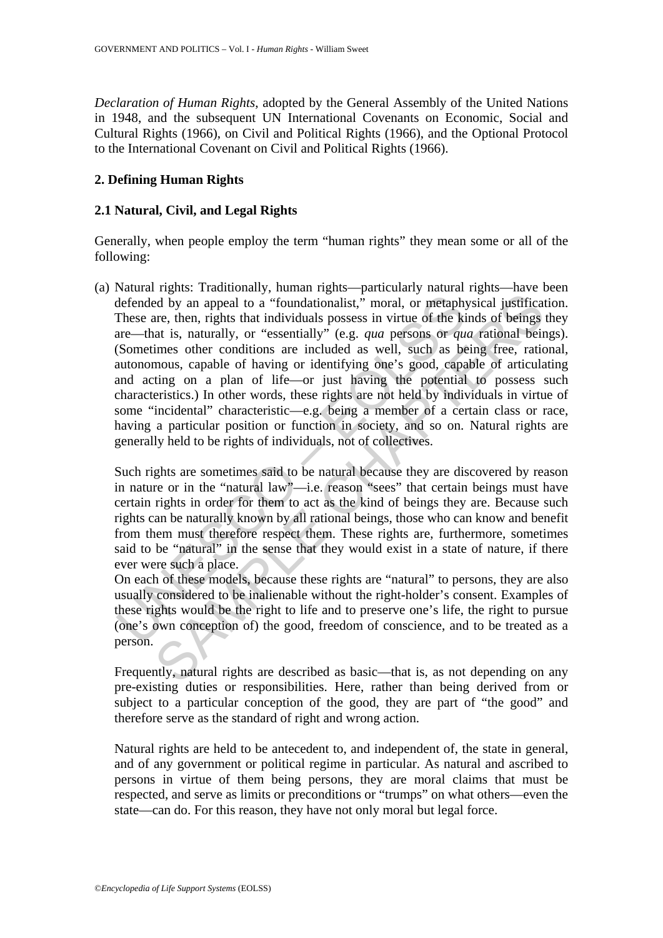*Declaration of Human Rights*, adopted by the General Assembly of the United Nations in 1948, and the subsequent UN International Covenants on Economic, Social and Cultural Rights (1966), on Civil and Political Rights (1966), and the Optional Protocol to the International Covenant on Civil and Political Rights (1966).

## **2. Defining Human Rights**

#### **2.1 Natural, Civil, and Legal Rights**

Generally, when people employ the term "human rights" they mean some or all of the following:

defended by an appeal to a "foundationalist," moral, or metaphy<br>These are, then, rights that individuals possess in virtue of the ki<br>are—that is, naturally, or "essentially" (e.g. qua persons or que<br>(Sometimes other condit France, then, rights that individuals possess in virtue of the kinds of beings<br>is that individuals possess in virtue of the kinds of beings<br>at is, naturally or "essentially" (e.g. qua persons or qua attaional being<br>imes o (a) Natural rights: Traditionally, human rights—particularly natural rights—have been defended by an appeal to a "foundationalist," moral, or metaphysical justification. These are, then, rights that individuals possess in virtue of the kinds of beings they are—that is, naturally, or "essentially" (e.g. *qua* persons or *qua* rational beings). (Sometimes other conditions are included as well, such as being free, rational, autonomous, capable of having or identifying one's good, capable of articulating and acting on a plan of life—or just having the potential to possess such characteristics.) In other words, these rights are not held by individuals in virtue of some "incidental" characteristic—e.g. being a member of a certain class or race, having a particular position or function in society, and so on. Natural rights are generally held to be rights of individuals, not of collectives.

Such rights are sometimes said to be natural because they are discovered by reason in nature or in the "natural law"—i.e. reason "sees" that certain beings must have certain rights in order for them to act as the kind of beings they are. Because such rights can be naturally known by all rational beings, those who can know and benefit from them must therefore respect them. These rights are, furthermore, sometimes said to be "natural" in the sense that they would exist in a state of nature, if there ever were such a place.

On each of these models, because these rights are "natural" to persons, they are also usually considered to be inalienable without the right-holder's consent. Examples of these rights would be the right to life and to preserve one's life, the right to pursue (one's own conception of) the good, freedom of conscience, and to be treated as a person.

Frequently, natural rights are described as basic—that is, as not depending on any pre-existing duties or responsibilities. Here, rather than being derived from or subject to a particular conception of the good, they are part of "the good" and therefore serve as the standard of right and wrong action.

Natural rights are held to be antecedent to, and independent of, the state in general, and of any government or political regime in particular. As natural and ascribed to persons in virtue of them being persons, they are moral claims that must be respected, and serve as limits or preconditions or "trumps" on what others—even the state—can do. For this reason, they have not only moral but legal force.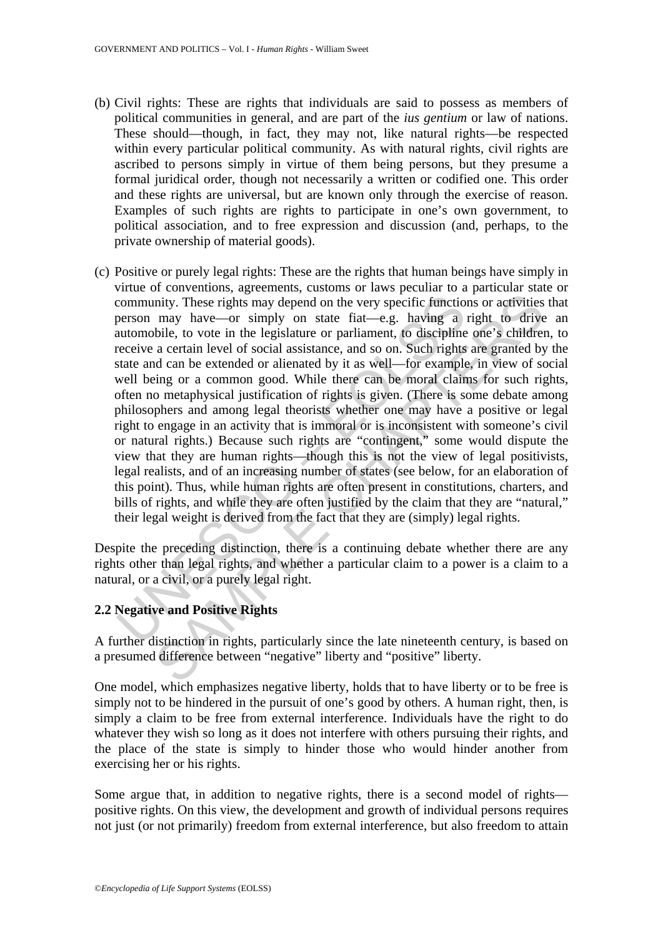- (b) Civil rights: These are rights that individuals are said to possess as members of political communities in general, and are part of the *ius gentium* or law of nations. These should—though, in fact, they may not, like natural rights—be respected within every particular political community. As with natural rights, civil rights are ascribed to persons simply in virtue of them being persons, but they presume a formal juridical order, though not necessarily a written or codified one. This order and these rights are universal, but are known only through the exercise of reason. Examples of such rights are rights to participate in one's own government, to political association, and to free expression and discussion (and, perhaps, to the private ownership of material goods).
- community. These rights may depend on the very specific function<br>person may have—or simply on state fiat—e.g. having a<br>automobile, to vote in the legislature or parliament, to discipline<br>receive a certain level of social a mity. These rights may depend on the very specific functions or activities<br>may have—or simply on state fiat—e.g. having a right to drive<br>bible, to vote in the legislature or parliament, to discriptine one's children<br>a cer (c) Positive or purely legal rights: These are the rights that human beings have simply in virtue of conventions, agreements, customs or laws peculiar to a particular state or community. These rights may depend on the very specific functions or activities that person may have—or simply on state fiat—e.g. having a right to drive an automobile, to vote in the legislature or parliament, to discipline one's children, to receive a certain level of social assistance, and so on. Such rights are granted by the state and can be extended or alienated by it as well—for example, in view of social well being or a common good. While there can be moral claims for such rights, often no metaphysical justification of rights is given. (There is some debate among philosophers and among legal theorists whether one may have a positive or legal right to engage in an activity that is immoral or is inconsistent with someone's civil or natural rights.) Because such rights are "contingent," some would dispute the view that they are human rights—though this is not the view of legal positivists, legal realists, and of an increasing number of states (see below, for an elaboration of this point). Thus, while human rights are often present in constitutions, charters, and bills of rights, and while they are often justified by the claim that they are "natural," their legal weight is derived from the fact that they are (simply) legal rights.

Despite the preceding distinction, there is a continuing debate whether there are any rights other than legal rights, and whether a particular claim to a power is a claim to a natural, or a civil, or a purely legal right.

#### **2.2 Negative and Positive Rights**

A further distinction in rights, particularly since the late nineteenth century, is based on a presumed difference between "negative" liberty and "positive" liberty.

One model, which emphasizes negative liberty, holds that to have liberty or to be free is simply not to be hindered in the pursuit of one's good by others. A human right, then, is simply a claim to be free from external interference. Individuals have the right to do whatever they wish so long as it does not interfere with others pursuing their rights, and the place of the state is simply to hinder those who would hinder another from exercising her or his rights.

Some argue that, in addition to negative rights, there is a second model of rights positive rights. On this view, the development and growth of individual persons requires not just (or not primarily) freedom from external interference, but also freedom to attain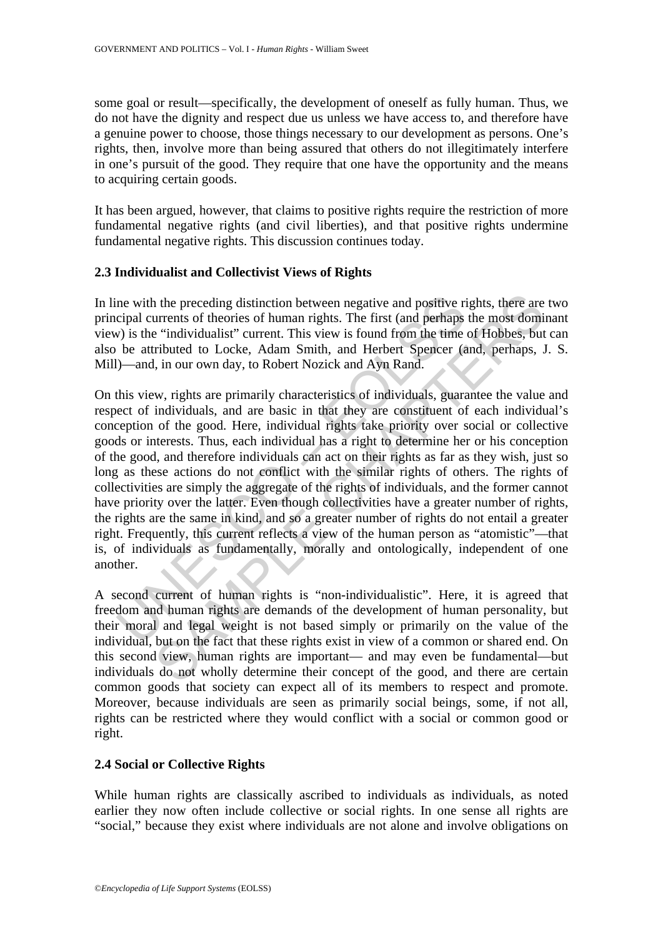some goal or result—specifically, the development of oneself as fully human. Thus, we do not have the dignity and respect due us unless we have access to, and therefore have a genuine power to choose, those things necessary to our development as persons. One's rights, then, involve more than being assured that others do not illegitimately interfere in one's pursuit of the good. They require that one have the opportunity and the means to acquiring certain goods.

It has been argued, however, that claims to positive rights require the restriction of more fundamental negative rights (and civil liberties), and that positive rights undermine fundamental negative rights. This discussion continues today.

#### **2.3 Individualist and Collectivist Views of Rights**

In line with the preceding distinction between negative and positive rights, there are two principal currents of theories of human rights. The first (and perhaps the most dominant view) is the "individualist" current. This view is found from the time of Hobbes, but can also be attributed to Locke, Adam Smith, and Herbert Spencer (and, perhaps, J. S. Mill)—and, in our own day, to Robert Nozick and Ayn Rand.

ne with the preceding distinction between negative and positive ricipal currents of theories of human rights. The first (and perhaps  $v$ ) is the "individualist" current. This view is found from the time be attributed to Lo is the preceding distinction between negative and positive rights, there are urrents of theories of human rights. The first (and perhaps the most dominal infurtual infurtual infurtual infurtual infurtual infurtual infurtua On this view, rights are primarily characteristics of individuals, guarantee the value and respect of individuals, and are basic in that they are constituent of each individual's conception of the good. Here, individual rights take priority over social or collective goods or interests. Thus, each individual has a right to determine her or his conception of the good, and therefore individuals can act on their rights as far as they wish, just so long as these actions do not conflict with the similar rights of others. The rights of collectivities are simply the aggregate of the rights of individuals, and the former cannot have priority over the latter. Even though collectivities have a greater number of rights, the rights are the same in kind, and so a greater number of rights do not entail a greater right. Frequently, this current reflects a view of the human person as "atomistic"—that is, of individuals as fundamentally, morally and ontologically, independent of one another.

A second current of human rights is "non-individualistic". Here, it is agreed that freedom and human rights are demands of the development of human personality, but their moral and legal weight is not based simply or primarily on the value of the individual, but on the fact that these rights exist in view of a common or shared end. On this second view, human rights are important— and may even be fundamental—but individuals do not wholly determine their concept of the good, and there are certain common goods that society can expect all of its members to respect and promote. Moreover, because individuals are seen as primarily social beings, some, if not all, rights can be restricted where they would conflict with a social or common good or right.

#### **2.4 Social or Collective Rights**

While human rights are classically ascribed to individuals as individuals, as noted earlier they now often include collective or social rights. In one sense all rights are "social," because they exist where individuals are not alone and involve obligations on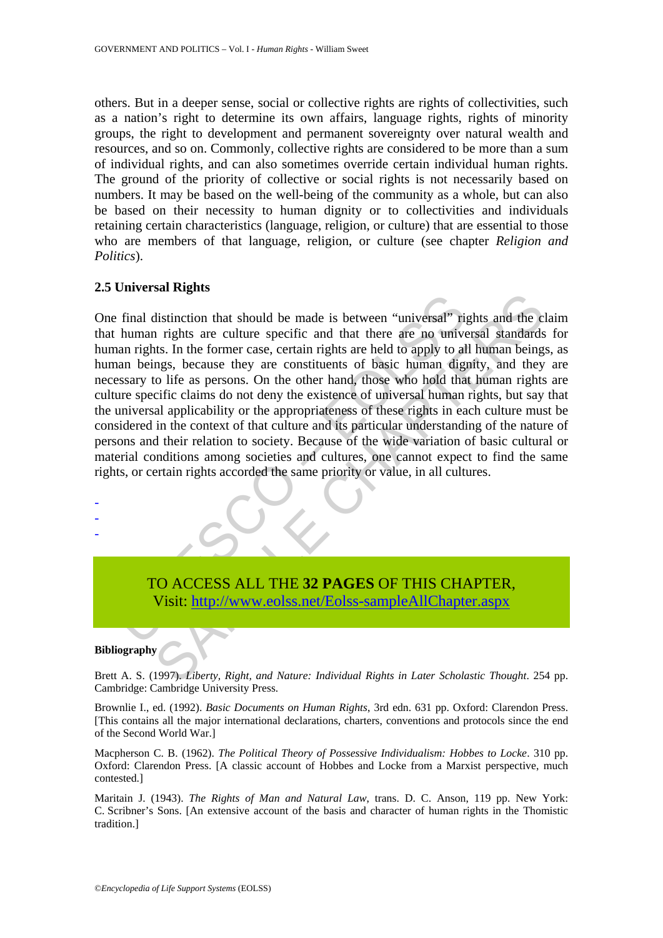others. But in a deeper sense, social or collective rights are rights of collectivities, such as a nation's right to determine its own affairs, language rights, rights of minority groups, the right to development and permanent sovereignty over natural wealth and resources, and so on. Commonly, collective rights are considered to be more than a sum of individual rights, and can also sometimes override certain individual human rights. The ground of the priority of collective or social rights is not necessarily based on numbers. It may be based on the well-being of the community as a whole, but can also be based on their necessity to human dignity or to collectivities and individuals retaining certain characteristics (language, religion, or culture) that are essential to those who are members of that language, religion, or culture (see chapter *Religion and Politics*).

#### **2.5 Universal Rights**

Final distinction that should be made is between "universal" ripluman rights. In the former case, certain rights are held to apply to also an beings, because they are constituents of basic lumnan digns, because they are co Examples and the made is between "universal" rights and the complision in rights are culture specific and that there are no universal standards ts. In the former case, certain rights are held to apply to all human being mg One final distinction that should be made is between "universal" rights and the claim that human rights are culture specific and that there are no universal standards for human rights. In the former case, certain rights are held to apply to all human beings, as human beings, because they are constituents of basic human dignity, and they are necessary to life as persons. On the other hand, those who hold that human rights are culture specific claims do not deny the existence of universal human rights, but say that the universal applicability or the appropriateness of these rights in each culture must be considered in the context of that culture and its particular understanding of the nature of persons and their relation to society. Because of the wide variation of basic cultural or material conditions among societies and cultures, one cannot expect to find the same rights, or certain rights accorded the same priority or value, in all cultures.

TO ACCESS ALL THE **32 PAGES** OF THIS CHAPTER, Visit: http://www.eolss.net/Eolss-sampleAllChapter.aspx

#### **Bibliography**

- - -

Brett A. S. (1997). *Liberty, Right, and Nature: Individual Rights in Later Scholastic Thought*. 254 pp. Cambridge: Cambridge University Press.

Brownlie I., ed. (1992). *Basic Documents on Human Rights*, 3rd edn. 631 pp. Oxford: Clarendon Press. [This contains all the major international declarations, charters, conventions and protocols since the end of the Second World War.]

Macpherson C. B. (1962). *The Political Theory of Possessive Individualism: Hobbes to Locke*. 310 pp. Oxford: Clarendon Press. [A classic account of Hobbes and Locke from a Marxist perspective, much contested.]

Maritain J. (1943). *The Rights of Man and Natural Law*, trans. D. C. Anson, 119 pp. New York: C. Scribner's Sons. [An extensive account of the basis and character of human rights in the Thomistic tradition.]